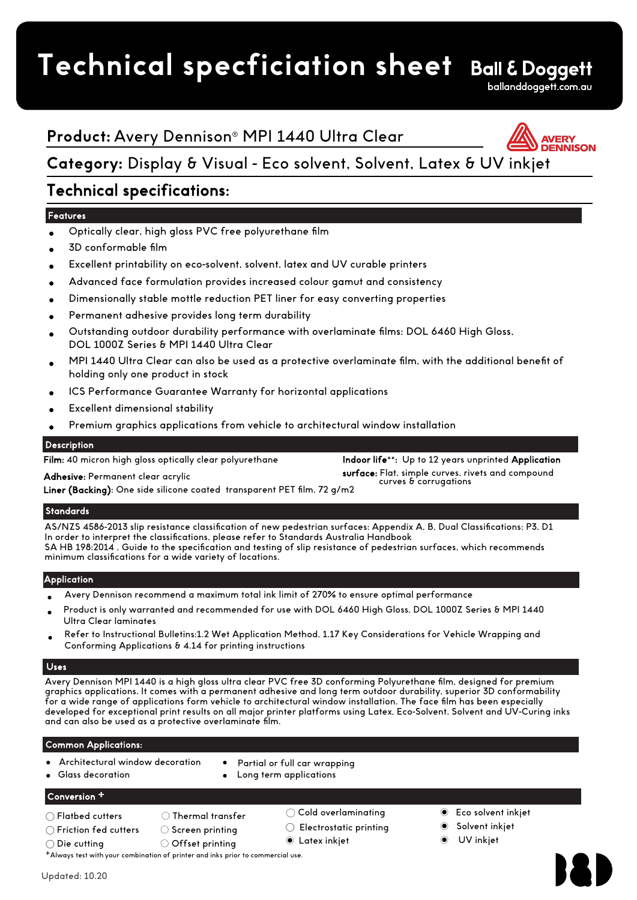# **Technical specficiation sheet**



# **Product:** Avery Dennison® MPI 1440 Ultra Clear



# **Category:** Display & Visual - Eco solvent, Solvent, Latex & UV inkjet

# Technical specifications:

## **Features**

- Optically clear, high gloss PVC free polyurethane film
- 3D conformable film
- Excellent printability on eco-solvent, solvent, latex and UV curable printers
- Advanced face formulation provides increased colour gamut and consistency
- Dimensionally stable mottle reduction PET liner for easy converting properties
- Permanent adhesive provides long term durability
- Outstanding outdoor durability performance with overlaminate films: DOL 6460 High Gloss, DOL 1000Z Series & MPI 1440 Ultra Clear
- MPI 1440 Ultra Clear can also be used as a protective overlaminate film, with the additional benefit of holding only one product in stock
- ICS Performance Guarantee Warranty for horizontal applications
- Excellent dimensional stability

Adhesive: Permanent clear acrylic

Premium graphics applications from vehicle to architectural window installation

## **Description**

Film: 40 micron high gloss optically clear polyurethane

Indoor life\*\*: Up to 12 years unprinted Application surface: Flat, simple curves, rivets and compound curves & corrugations

Liner (Backing): One side silicone coated transparent PET film, 72 g/m2

## **Standards**

AS/NZS 4586-2013 slip resistance classification of new pedestrian surfaces: Appendix A, B, Dual Classifications: P3, D1 In order to interpret the classifications, please refer to Standards Australia Handbook SA HB 198:2014 , Guide to the specification and testing of slip resistance of pedestrian surfaces, which recommends minimum classifications for a wide variety of locations.

## **Application**

- Avery Dennison recommend a maximum total ink limit of 270% to ensure optimal performance
- Product is only warranted and recommended for use with DOL 6460 High Gloss, DOL 1000Z Series & MPI 1440 Ultra Clear laminates
- Refer to Instructional Bulletins:1.2 Wet Application Method, 1.17 Key Considerations for Vehicle Wrapping and Conforming Applications & 4.14 for printing instructions

## Uses

Avery Dennison MPI 1440 is a high gloss ultra clear PVC free 3D conforming Polyurethane film, designed for premium graphics applications. It comes with a permanent adhesive and long term outdoor durability, superior 3D conformability for a wide range of applications form vehicle to architectural window installation. The face film has been especially developed for exceptional print results on all major printer platforms using Latex, Eco-Solvent, Solvent and UV-Curing inks and can also be used as a protective overlaminate film.

## Common Applications:

- Architectural window decoration
- Partial or full car wrapping
- Long term applications

## Conversion +

 $\bigcirc$  Flatbed cutters  $\bigcirc$  Thermal transfer

● Glass decoration

- 
- ◯ Friction fed cutters ◯ Screen printing
- 
- $\bigcirc$  Die cutting  $\hspace{1cm} \bigcirc$  Offset printing
- +Always test with your combination of printer and inks prior to commercial use.
- ◯ Cold overlaminating
- ◯ Electrostatic printing Latex inkjet ◉
- ◉ Eco solvent inkjet
- ◉ Solvent inkjet
- UV inkjet